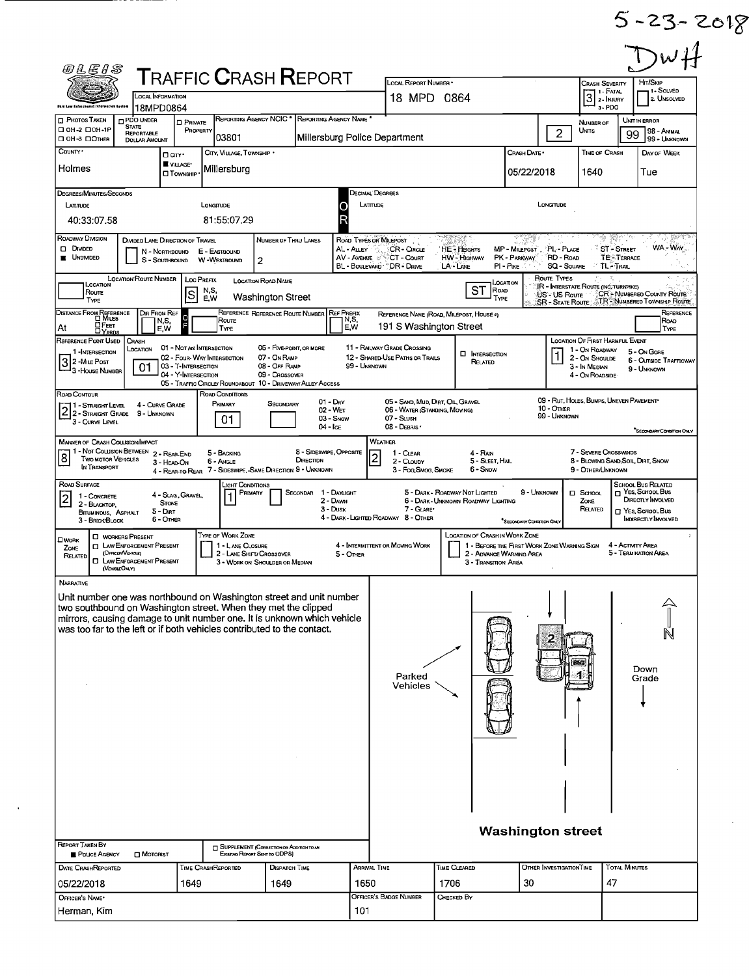$5 - 23 - 2018$ 

| <b>T</b> RAFFIC <b>C</b> RASH <b>R</b> EPORT<br>LOCAL REPORT NUMBER *<br>Hrt/Skip<br><b>CRASH SEVERITY</b><br>1 1 - Fatal<br>$\overline{3}$<br><b>LOCAL INFORMATION</b><br>18 MPD 0864<br>2 - INJURY<br>3-PDO<br>18MPD0864<br>REPORTING AGENCY NCIC <sup>*</sup><br>REPORTING AGENCY NAME<br><b>PHOTOS TAKEN</b><br>$\square$ PDO UNDER<br>Unit in Error<br><b>D</b> PRIVATE<br>NUMBER OF<br><b>STATE</b><br>□ 0H-2 □ 0H-1P<br>PROPERTY<br>$\overline{c}$<br>Units<br>99<br>REPORTABLE<br>03801<br>Millersburg Police Department<br><b>DOH-3 DOTHER</b><br><b>DOLLAR AMOUNT</b><br>County ·<br>CITY, VILLAGE, TOWNSHIP<br>CRASH DATE *<br>TIME OF CRASH<br><b>O</b> an <sup>.</sup><br>VILLAGE <sup>®</sup><br>Holmes<br>Millersburg<br>05/22/2018<br>1640<br>Tue<br><b>OT</b> OWNSHIP<br>DECIMAL DECREES<br>DEGREES/MINUTES/SECONDS<br>LATTUDE<br>LONGTUDE<br>LATITUDE<br>LONGITUDE<br>40:33:07.58<br>81:55:07.29<br>Roadway Division<br>DIVIDED LANE DIRECTION OF TRAVEL<br>NUMBER OF THRU LANES<br>ROAD TYPES OR MILEPOST<br>$\sqrt[3]{51}$ - Street<br>$\Box$ Druped<br>AL-ALLEY<br>CR-CROLE<br>PL - PLACE<br><b>HE-HEIGHTS</b><br>MP - MILEPOST<br>N - NORTHBOUND<br>E - EASTBOUND<br><b>UNDIVIDED</b><br>AV-AVENUE<br>CT - Court<br>HW - Highway<br>PK - PARKWAY<br>RD - Road<br><b>TE-TERRACE</b><br>S - SOUTHBOUND<br>W-WESTBOUND<br>$\overline{2}$<br>BL - BOULEVARD * DR - DRIVE<br>LA - LANE<br>PI - PIKE<br><b>SQ - SOUARE</b><br><b>TL-TRAIL</b><br>LOCATION ROUTE NUMBER<br>ROUTE TYPES<br>Loc PREFIX<br>LOCATION ROAD NAME<br>Location<br>LOCATION<br><b>IR - INTERSTATE ROUTE (INC. TURNPIKE)</b><br><b>ST</b><br>ROAD<br>N,S,<br>Route<br>ls<br>US - US Route<br>Washington Street<br>E.W<br>TYPE<br>TYPE<br>DIR FROM REF<br>REFERENCE REFERENCE ROUTE NUMBER<br>REF PREFIX<br>REFERENCE NAME (ROAD, MILEPOST, HOUSE #)<br><b>Route</b><br> N,S,<br>N,S,<br><b>OFEET</b><br>191 S Washington Street<br>E,W<br>At<br>E.W<br><b>TYPE</b><br>REFERENCE POINT USED<br>CRASH<br>LOCATION OF FIRST HARMFUL EVENT<br>11 - RAILWAY GRADE CROSSING<br>01 - NOT AN INTERSECTION<br>06 - FIVE-POINT, OR MORE<br>LOCATION<br>1 - On ROADWAY<br>5 - On Gore<br>1-INTERSECTION<br><b>I INTERSECTION</b><br>02 - FOUR-WAY INTERSECTION<br>07 - On RAMP<br>12 - SHARED-USE PATHS OR TRAILS<br>2 - ON SHOULDE<br>3<br>2-MILE Post<br>RELATED<br>03 - T-INTERSECTION<br>08 - OFF RAMP<br>99 - UNKNOWN<br>3 - In Median<br>01<br>9 - UNKNOWN<br>- 3 - House Number<br>04 - Y-INTERSECTION<br>09 - CROSSOVER<br>4 - On ROADSIDE<br>05 - TRAFFIC CIRCLE/ ROUNDABOUT 10 - DRIVEWAY/ ALLEY ACCESS<br>ROAD CONDITIONS<br>Road Contour<br>09 - RUT, HOLES, BUMPS, UNEVEN PAVEMENT*<br>$01 - \text{Day}$<br>05 - SAND, MUD, DIRT, OIL GRAVEL<br>Primary<br>SECONDARY<br>4 - CURVE GRADE<br>1 - Straght Level<br>2 - STRAIGHT LEVEL<br>$10 -$ Onar<br>02 - WET<br>06 - WATER (STANDING, MOVING)<br>9 - Unknown<br>99 - UNKNOWN<br>03 - Snow<br>07 - SLUSH<br>01.<br>3 - CURVE LEVEL<br>08 - DEBRIS<br>04 - Ice<br><b>WEATHER</b><br><b>MANNER OF CRASH COLLISION/IMPACT</b><br>1 - Not Collision Between 2 - REAR-END<br>8 - SIDESWIPE, OPPOSITE<br>7 - SEVERE CROSSWINDS<br>5 - BACKING<br>1 - CLEAR<br>4 - RAIN<br>8<br>$\overline{\mathbf{c}}$<br>TWO MOTOR VEHICLES<br>DIRECTION<br>2 - CLOUDY<br>5 - SLEET, HAIL<br>6 - Angle<br>3 - HEAD-ON<br>IN TRANSPORT<br>7 - SIDESWIPE, SAME DIRECTION 9 - UNKNOWN<br>6 - Snow<br>9 - OTHER/UNKNOWN<br>3 - Fog Smog, Smoke<br>4 - Rear-to-Rear<br>ROAD SURFACE<br><b>SCHOOL BUS RELATED</b><br>LIGHT CONDITIONS<br>1 - DAYLIGHT<br>5 - DARK - ROADWAY NOT LIGHTED<br>9 - UNKNOWN<br>PRIMARY<br>Secondar<br>$\Box$ School<br>4 - Slag, Gravel<br>1 - CONCRETE<br> 2 <br>2 - DAWN<br>6 - DARK - UNKNOWN ROADWAY LIGHTING<br>ZONE<br><b>STONE</b><br>2 - BLACKTOP.<br>3 - Dusk<br>7 - GLARE*<br>RELATED<br>5 - DIRT<br>BITUMINOUS, ASPHALT<br>4 - DARK - LIGHTED ROADWAY 8 - OTHER<br>6 - Other<br>3 - Brick/Block<br>*SECONDARY CONDITION ONLY<br>TYPE OF WORK ZONE<br><b>LOCATION OF CRASH IN WORK ZONE</b><br><b>D</b> WORKERS PRESENT<br>$\square$ WORK<br><b>D</b> LAW ENFORCEMENT PRESENT<br>1 - LANE CLOSURE<br>4 - INTERMITTENT OR MOVING WORK<br>1 - BEFORE THE FIRST WORK ZONE WARNING SIGN<br>4 - ACTIVITY AREA<br>ZONE<br>(OFFICER/VEHICLE)<br>2 - ADVANCE WARNING AREA<br>2 - LANE SHIFT/ CROSSOVER<br>5 - OTHER<br>RELATED<br><b>LAW ENFORCEMENT PRESENT</b><br>3 - Transmon Area<br>3 - WORK ON SHOULDER OR MEDIAN<br>(VENCLEONLY) | 1 - SOLVED<br>2 UNSOLVED<br>98 - ANMAL<br>99 - UNKNOWN<br>DAY OF WEEK<br>WA - WAY<br><b>CR-NUMBERED COUNTY ROUTE</b><br>SR - STATE ROUTE TR - NUMBERED TOWNSHIP ROUTE<br>REFERENCE<br>Road<br>TYPE<br><b>6 - OUTSIDE TRAFFICWAY</b><br>SECONDARY CONDITION ONLY<br>8 - BLOWING SAND, SOIL, DRT, SNOW |
|----------------------------------------------------------------------------------------------------------------------------------------------------------------------------------------------------------------------------------------------------------------------------------------------------------------------------------------------------------------------------------------------------------------------------------------------------------------------------------------------------------------------------------------------------------------------------------------------------------------------------------------------------------------------------------------------------------------------------------------------------------------------------------------------------------------------------------------------------------------------------------------------------------------------------------------------------------------------------------------------------------------------------------------------------------------------------------------------------------------------------------------------------------------------------------------------------------------------------------------------------------------------------------------------------------------------------------------------------------------------------------------------------------------------------------------------------------------------------------------------------------------------------------------------------------------------------------------------------------------------------------------------------------------------------------------------------------------------------------------------------------------------------------------------------------------------------------------------------------------------------------------------------------------------------------------------------------------------------------------------------------------------------------------------------------------------------------------------------------------------------------------------------------------------------------------------------------------------------------------------------------------------------------------------------------------------------------------------------------------------------------------------------------------------------------------------------------------------------------------------------------------------------------------------------------------------------------------------------------------------------------------------------------------------------------------------------------------------------------------------------------------------------------------------------------------------------------------------------------------------------------------------------------------------------------------------------------------------------------------------------------------------------------------------------------------------------------------------------------------------------------------------------------------------------------------------------------------------------------------------------------------------------------------------------------------------------------------------------------------------------------------------------------------------------------------------------------------------------------------------------------------------------------------------------------------------------------------------------------------------------------------------------------------------------------------------------------------------------------------------------------------------------------------------------------------------------------------------------------------------------------------------------------------------------------------------------------------------------------------------------------------------------------------------------------------------------------------------------------------------------------------------------------------------------------------------------------------------------------------------------------------------------------------------------------------------------------------------------------------------------------------------------------------------------------------------------------------------------------|------------------------------------------------------------------------------------------------------------------------------------------------------------------------------------------------------------------------------------------------------------------------------------------------------|
| Distance From Reference<br>CI Miles                                                                                                                                                                                                                                                                                                                                                                                                                                                                                                                                                                                                                                                                                                                                                                                                                                                                                                                                                                                                                                                                                                                                                                                                                                                                                                                                                                                                                                                                                                                                                                                                                                                                                                                                                                                                                                                                                                                                                                                                                                                                                                                                                                                                                                                                                                                                                                                                                                                                                                                                                                                                                                                                                                                                                                                                                                                                                                                                                                                                                                                                                                                                                                                                                                                                                                                                                                                                                                                                                                                                                                                                                                                                                                                                                                                                                                                                                                                                                                                                                                                                                                                                                                                                                                                                                                                                                                                                                                              |                                                                                                                                                                                                                                                                                                      |
|                                                                                                                                                                                                                                                                                                                                                                                                                                                                                                                                                                                                                                                                                                                                                                                                                                                                                                                                                                                                                                                                                                                                                                                                                                                                                                                                                                                                                                                                                                                                                                                                                                                                                                                                                                                                                                                                                                                                                                                                                                                                                                                                                                                                                                                                                                                                                                                                                                                                                                                                                                                                                                                                                                                                                                                                                                                                                                                                                                                                                                                                                                                                                                                                                                                                                                                                                                                                                                                                                                                                                                                                                                                                                                                                                                                                                                                                                                                                                                                                                                                                                                                                                                                                                                                                                                                                                                                                                                                                                  |                                                                                                                                                                                                                                                                                                      |
|                                                                                                                                                                                                                                                                                                                                                                                                                                                                                                                                                                                                                                                                                                                                                                                                                                                                                                                                                                                                                                                                                                                                                                                                                                                                                                                                                                                                                                                                                                                                                                                                                                                                                                                                                                                                                                                                                                                                                                                                                                                                                                                                                                                                                                                                                                                                                                                                                                                                                                                                                                                                                                                                                                                                                                                                                                                                                                                                                                                                                                                                                                                                                                                                                                                                                                                                                                                                                                                                                                                                                                                                                                                                                                                                                                                                                                                                                                                                                                                                                                                                                                                                                                                                                                                                                                                                                                                                                                                                                  |                                                                                                                                                                                                                                                                                                      |
|                                                                                                                                                                                                                                                                                                                                                                                                                                                                                                                                                                                                                                                                                                                                                                                                                                                                                                                                                                                                                                                                                                                                                                                                                                                                                                                                                                                                                                                                                                                                                                                                                                                                                                                                                                                                                                                                                                                                                                                                                                                                                                                                                                                                                                                                                                                                                                                                                                                                                                                                                                                                                                                                                                                                                                                                                                                                                                                                                                                                                                                                                                                                                                                                                                                                                                                                                                                                                                                                                                                                                                                                                                                                                                                                                                                                                                                                                                                                                                                                                                                                                                                                                                                                                                                                                                                                                                                                                                                                                  |                                                                                                                                                                                                                                                                                                      |
|                                                                                                                                                                                                                                                                                                                                                                                                                                                                                                                                                                                                                                                                                                                                                                                                                                                                                                                                                                                                                                                                                                                                                                                                                                                                                                                                                                                                                                                                                                                                                                                                                                                                                                                                                                                                                                                                                                                                                                                                                                                                                                                                                                                                                                                                                                                                                                                                                                                                                                                                                                                                                                                                                                                                                                                                                                                                                                                                                                                                                                                                                                                                                                                                                                                                                                                                                                                                                                                                                                                                                                                                                                                                                                                                                                                                                                                                                                                                                                                                                                                                                                                                                                                                                                                                                                                                                                                                                                                                                  |                                                                                                                                                                                                                                                                                                      |
|                                                                                                                                                                                                                                                                                                                                                                                                                                                                                                                                                                                                                                                                                                                                                                                                                                                                                                                                                                                                                                                                                                                                                                                                                                                                                                                                                                                                                                                                                                                                                                                                                                                                                                                                                                                                                                                                                                                                                                                                                                                                                                                                                                                                                                                                                                                                                                                                                                                                                                                                                                                                                                                                                                                                                                                                                                                                                                                                                                                                                                                                                                                                                                                                                                                                                                                                                                                                                                                                                                                                                                                                                                                                                                                                                                                                                                                                                                                                                                                                                                                                                                                                                                                                                                                                                                                                                                                                                                                                                  |                                                                                                                                                                                                                                                                                                      |
|                                                                                                                                                                                                                                                                                                                                                                                                                                                                                                                                                                                                                                                                                                                                                                                                                                                                                                                                                                                                                                                                                                                                                                                                                                                                                                                                                                                                                                                                                                                                                                                                                                                                                                                                                                                                                                                                                                                                                                                                                                                                                                                                                                                                                                                                                                                                                                                                                                                                                                                                                                                                                                                                                                                                                                                                                                                                                                                                                                                                                                                                                                                                                                                                                                                                                                                                                                                                                                                                                                                                                                                                                                                                                                                                                                                                                                                                                                                                                                                                                                                                                                                                                                                                                                                                                                                                                                                                                                                                                  |                                                                                                                                                                                                                                                                                                      |
|                                                                                                                                                                                                                                                                                                                                                                                                                                                                                                                                                                                                                                                                                                                                                                                                                                                                                                                                                                                                                                                                                                                                                                                                                                                                                                                                                                                                                                                                                                                                                                                                                                                                                                                                                                                                                                                                                                                                                                                                                                                                                                                                                                                                                                                                                                                                                                                                                                                                                                                                                                                                                                                                                                                                                                                                                                                                                                                                                                                                                                                                                                                                                                                                                                                                                                                                                                                                                                                                                                                                                                                                                                                                                                                                                                                                                                                                                                                                                                                                                                                                                                                                                                                                                                                                                                                                                                                                                                                                                  |                                                                                                                                                                                                                                                                                                      |
|                                                                                                                                                                                                                                                                                                                                                                                                                                                                                                                                                                                                                                                                                                                                                                                                                                                                                                                                                                                                                                                                                                                                                                                                                                                                                                                                                                                                                                                                                                                                                                                                                                                                                                                                                                                                                                                                                                                                                                                                                                                                                                                                                                                                                                                                                                                                                                                                                                                                                                                                                                                                                                                                                                                                                                                                                                                                                                                                                                                                                                                                                                                                                                                                                                                                                                                                                                                                                                                                                                                                                                                                                                                                                                                                                                                                                                                                                                                                                                                                                                                                                                                                                                                                                                                                                                                                                                                                                                                                                  |                                                                                                                                                                                                                                                                                                      |
|                                                                                                                                                                                                                                                                                                                                                                                                                                                                                                                                                                                                                                                                                                                                                                                                                                                                                                                                                                                                                                                                                                                                                                                                                                                                                                                                                                                                                                                                                                                                                                                                                                                                                                                                                                                                                                                                                                                                                                                                                                                                                                                                                                                                                                                                                                                                                                                                                                                                                                                                                                                                                                                                                                                                                                                                                                                                                                                                                                                                                                                                                                                                                                                                                                                                                                                                                                                                                                                                                                                                                                                                                                                                                                                                                                                                                                                                                                                                                                                                                                                                                                                                                                                                                                                                                                                                                                                                                                                                                  |                                                                                                                                                                                                                                                                                                      |
|                                                                                                                                                                                                                                                                                                                                                                                                                                                                                                                                                                                                                                                                                                                                                                                                                                                                                                                                                                                                                                                                                                                                                                                                                                                                                                                                                                                                                                                                                                                                                                                                                                                                                                                                                                                                                                                                                                                                                                                                                                                                                                                                                                                                                                                                                                                                                                                                                                                                                                                                                                                                                                                                                                                                                                                                                                                                                                                                                                                                                                                                                                                                                                                                                                                                                                                                                                                                                                                                                                                                                                                                                                                                                                                                                                                                                                                                                                                                                                                                                                                                                                                                                                                                                                                                                                                                                                                                                                                                                  | <b>n</b> Yes, Saroot, Bus<br>DIRECTLY INVOLVED<br>T YES, SCHOOL BUS<br>INDIRECTLY INVOLVED                                                                                                                                                                                                           |
|                                                                                                                                                                                                                                                                                                                                                                                                                                                                                                                                                                                                                                                                                                                                                                                                                                                                                                                                                                                                                                                                                                                                                                                                                                                                                                                                                                                                                                                                                                                                                                                                                                                                                                                                                                                                                                                                                                                                                                                                                                                                                                                                                                                                                                                                                                                                                                                                                                                                                                                                                                                                                                                                                                                                                                                                                                                                                                                                                                                                                                                                                                                                                                                                                                                                                                                                                                                                                                                                                                                                                                                                                                                                                                                                                                                                                                                                                                                                                                                                                                                                                                                                                                                                                                                                                                                                                                                                                                                                                  | 5 - TERMINATION AREA                                                                                                                                                                                                                                                                                 |
| NARRATIVE<br>Unit number one was northbound on Washington street and unit number<br>two southbound on Washington street. When they met the clipped<br>mirrors, causing damage to unit number one. It is unknown which vehicle<br>was too far to the left or if both vehicles contributed to the contact.<br>Down<br>Parked<br>Grade<br>Vehicles<br><b>Washington street</b><br>REPORT TAKEN BY<br><b>SUPPLEMENT (CORRECTION OR ADDITION TO AN</b><br>Existing Report Sent to ODPS)<br>POLICE AGENCY<br>$\Box$ MOTORIST                                                                                                                                                                                                                                                                                                                                                                                                                                                                                                                                                                                                                                                                                                                                                                                                                                                                                                                                                                                                                                                                                                                                                                                                                                                                                                                                                                                                                                                                                                                                                                                                                                                                                                                                                                                                                                                                                                                                                                                                                                                                                                                                                                                                                                                                                                                                                                                                                                                                                                                                                                                                                                                                                                                                                                                                                                                                                                                                                                                                                                                                                                                                                                                                                                                                                                                                                                                                                                                                                                                                                                                                                                                                                                                                                                                                                                                                                                                                                           |                                                                                                                                                                                                                                                                                                      |
| ARRIVAL TIME<br><b>TOTAL MINUTES</b><br><b>DISPATCH TIME</b><br>Time Cleared<br>OTHER INVESTIGATION TIME<br><b>DATE CRASHREPORTED</b><br>Time CrashReported                                                                                                                                                                                                                                                                                                                                                                                                                                                                                                                                                                                                                                                                                                                                                                                                                                                                                                                                                                                                                                                                                                                                                                                                                                                                                                                                                                                                                                                                                                                                                                                                                                                                                                                                                                                                                                                                                                                                                                                                                                                                                                                                                                                                                                                                                                                                                                                                                                                                                                                                                                                                                                                                                                                                                                                                                                                                                                                                                                                                                                                                                                                                                                                                                                                                                                                                                                                                                                                                                                                                                                                                                                                                                                                                                                                                                                                                                                                                                                                                                                                                                                                                                                                                                                                                                                                      |                                                                                                                                                                                                                                                                                                      |
| 1649<br>1650<br>1706<br>30<br>47<br>1649<br>05/22/2018<br>OFFICER'S BADGE NUMBER<br>CHECKED BY<br>OFFICER'S NAME*<br>Herman, Kim<br>101                                                                                                                                                                                                                                                                                                                                                                                                                                                                                                                                                                                                                                                                                                                                                                                                                                                                                                                                                                                                                                                                                                                                                                                                                                                                                                                                                                                                                                                                                                                                                                                                                                                                                                                                                                                                                                                                                                                                                                                                                                                                                                                                                                                                                                                                                                                                                                                                                                                                                                                                                                                                                                                                                                                                                                                                                                                                                                                                                                                                                                                                                                                                                                                                                                                                                                                                                                                                                                                                                                                                                                                                                                                                                                                                                                                                                                                                                                                                                                                                                                                                                                                                                                                                                                                                                                                                          |                                                                                                                                                                                                                                                                                                      |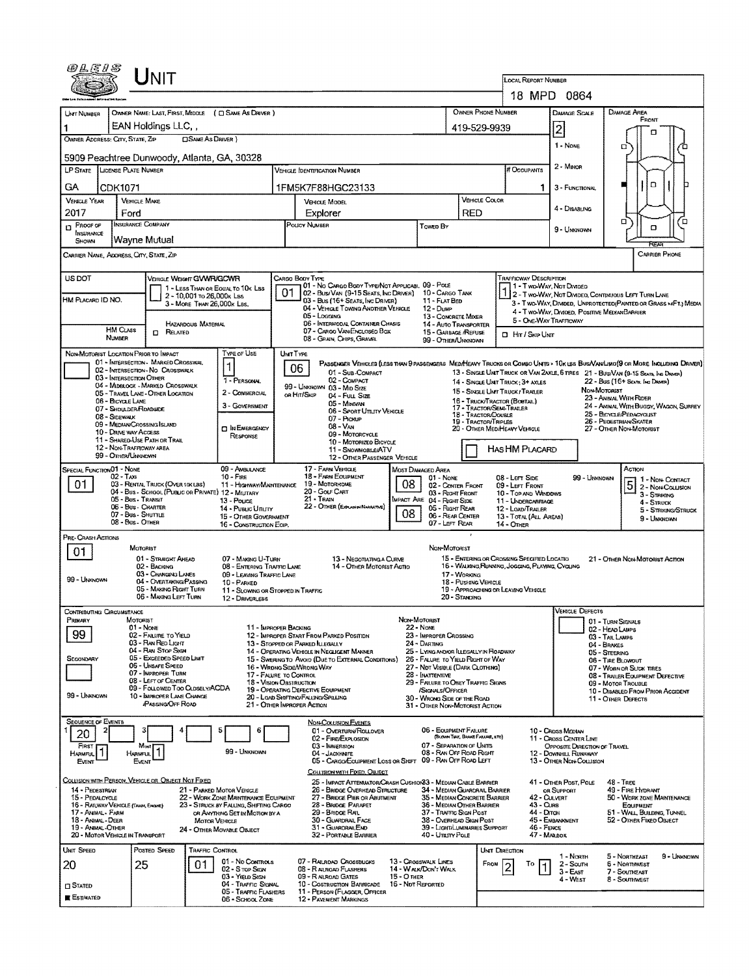|                                                                                                                                                                                                                                                                                                                                        | UNIT                                                                                                                                                                                            |                                                                               |                                                                                                                             |                                                                                                                                                                 |                                                                                  |                                                                                                          |                                                                                                                                               |                                                       |                                                               |  |  |  |  |  |  |
|----------------------------------------------------------------------------------------------------------------------------------------------------------------------------------------------------------------------------------------------------------------------------------------------------------------------------------------|-------------------------------------------------------------------------------------------------------------------------------------------------------------------------------------------------|-------------------------------------------------------------------------------|-----------------------------------------------------------------------------------------------------------------------------|-----------------------------------------------------------------------------------------------------------------------------------------------------------------|----------------------------------------------------------------------------------|----------------------------------------------------------------------------------------------------------|-----------------------------------------------------------------------------------------------------------------------------------------------|-------------------------------------------------------|---------------------------------------------------------------|--|--|--|--|--|--|
|                                                                                                                                                                                                                                                                                                                                        |                                                                                                                                                                                                 |                                                                               |                                                                                                                             |                                                                                                                                                                 | LOCAL REPORT NUMBER                                                              |                                                                                                          |                                                                                                                                               |                                                       |                                                               |  |  |  |  |  |  |
| UNT NUMBER                                                                                                                                                                                                                                                                                                                             | OWNER NAME: LAST, FIRST, MIDDLE ( C) SAME AS DRIVER )                                                                                                                                           |                                                                               |                                                                                                                             |                                                                                                                                                                 |                                                                                  | <b>OWNER PHONE NUMBER</b>                                                                                | 18 MPD 0864<br><b>DAMAGE AREA</b><br>DAMAGE SCALE                                                                                             |                                                       |                                                               |  |  |  |  |  |  |
|                                                                                                                                                                                                                                                                                                                                        | EAN Holdings LLC, ,                                                                                                                                                                             |                                                                               |                                                                                                                             |                                                                                                                                                                 |                                                                                  | 419-529-9939                                                                                             |                                                                                                                                               | $\overline{2}$                                        | FRONT                                                         |  |  |  |  |  |  |
| о<br><b>CISAME AS DRIVER</b> )<br>OWNER ADDRESS: CITY, STATE, ZIP<br>1 - None<br>Ω                                                                                                                                                                                                                                                     |                                                                                                                                                                                                 |                                                                               |                                                                                                                             |                                                                                                                                                                 |                                                                                  |                                                                                                          |                                                                                                                                               |                                                       |                                                               |  |  |  |  |  |  |
|                                                                                                                                                                                                                                                                                                                                        | 5909 Peachtree Dunwoody, Atlanta, GA, 30328<br>$2 - M$ Intor<br><b>LICENSE PLATE NUMBER</b>                                                                                                     |                                                                               |                                                                                                                             |                                                                                                                                                                 |                                                                                  |                                                                                                          |                                                                                                                                               |                                                       |                                                               |  |  |  |  |  |  |
| <b>LP STATE</b>                                                                                                                                                                                                                                                                                                                        |                                                                                                                                                                                                 |                                                                               | <b>VEHICLE IDENTIFICATION NUMBER</b>                                                                                        |                                                                                                                                                                 |                                                                                  | # Occupants                                                                                              |                                                                                                                                               |                                                       |                                                               |  |  |  |  |  |  |
| GA<br>CDK1071                                                                                                                                                                                                                                                                                                                          |                                                                                                                                                                                                 |                                                                               | 1FM5K7F88HGC23133                                                                                                           |                                                                                                                                                                 |                                                                                  | VEHICLE COLOR                                                                                            |                                                                                                                                               | 3 - FUNCTIONAL                                        | o                                                             |  |  |  |  |  |  |
| <b>VEHICLE YEAR</b><br>2017<br>Ford                                                                                                                                                                                                                                                                                                    | <b>VEHICLE MAKE</b>                                                                                                                                                                             |                                                                               | VEHICLE MODEL<br>Explorer                                                                                                   |                                                                                                                                                                 |                                                                                  | RED                                                                                                      |                                                                                                                                               | 4 - DISABLING                                         |                                                               |  |  |  |  |  |  |
| <b>D</b> PROOF OF<br>INSURANCE                                                                                                                                                                                                                                                                                                         | <b>INSURANCE COMPANY</b>                                                                                                                                                                        |                                                                               | POLICY NUMBER                                                                                                               |                                                                                                                                                                 | Towen By                                                                         |                                                                                                          |                                                                                                                                               | 9 - UNKNOWN                                           | о<br>o<br>۵                                                   |  |  |  |  |  |  |
| SHOWN                                                                                                                                                                                                                                                                                                                                  | Wayne Mutual                                                                                                                                                                                    |                                                                               |                                                                                                                             |                                                                                                                                                                 |                                                                                  |                                                                                                          |                                                                                                                                               |                                                       | RFAR                                                          |  |  |  |  |  |  |
| CARRIER NAME, ADORESS, CITY, STATE, ZIP                                                                                                                                                                                                                                                                                                |                                                                                                                                                                                                 |                                                                               |                                                                                                                             |                                                                                                                                                                 |                                                                                  |                                                                                                          |                                                                                                                                               |                                                       | <b>CARRIER PHONE</b>                                          |  |  |  |  |  |  |
| US DOT                                                                                                                                                                                                                                                                                                                                 | VEHICLE WEIGHT GWWR/GCWR                                                                                                                                                                        |                                                                               | CARGO BODY TYPE                                                                                                             | 101 - No CARGO BODY TYPE/NOT APPLICABL 09 - POLE                                                                                                                |                                                                                  |                                                                                                          | <b>TRAFFICWAY DESCRIPTION</b>                                                                                                                 |                                                       |                                                               |  |  |  |  |  |  |
| HM PLACARD ID NO.                                                                                                                                                                                                                                                                                                                      | 1 - LESS THAN OR EQUAL TO 10K LBS<br>2 - 10,001 to 26,000k Las<br>3 - MORE THAN 26,000K LBS.                                                                                                    |                                                                               | 01<br>03 - Bus (16+ Seats, Inc Driver)                                                                                      | 02 - Bus/Van (9-15 Seats, Ing Driver) 10 - Cargo Tank                                                                                                           | 11 - FLAT BED                                                                    |                                                                                                          | 1 - Two-Way, Not Divided<br>1 2 - T WO-WAY, NOT DIVIDED, CONTINUOUS LEFT TURN LANE                                                            |                                                       |                                                               |  |  |  |  |  |  |
|                                                                                                                                                                                                                                                                                                                                        |                                                                                                                                                                                                 |                                                                               | 05 - Logging                                                                                                                | 04 - VEHICLE TOWING ANOTHER VEHICLE                                                                                                                             | 12 - Dulle<br>13 - CONCRETE MIXER                                                |                                                                                                          | 3 - T WO-WAY, DIVIDED, UNPROTECTED (PAINTED OR GRASS > 4FT.) MEDIA<br>4 - Two-Way, Divided. Positive Median Barrier<br>5 - ONE-WAY TRAFFICWAY |                                                       |                                                               |  |  |  |  |  |  |
| <b>HM CLASS</b>                                                                                                                                                                                                                                                                                                                        | HAZARDOUS MATERIAL<br>$B$ Related                                                                                                                                                               |                                                                               | 07 - CARGO VAN ENCLOSED BOX                                                                                                 | 06 - INTERMODAL CONTAINER CHASIS                                                                                                                                | 15 - GARBAGE /REFUSE                                                             | <b>14 - AUTO TRANSPORTER</b>                                                                             | <b>D</b> Hr / Skip Unit                                                                                                                       |                                                       |                                                               |  |  |  |  |  |  |
| NUMBER<br>08 - GRAIN, CHIPS, GRAVEL<br>99 - OTHER/UNKNOWN<br>TYPE OF USE<br>NON-MOTORIST LOCATION PRIOR TO IMPACT<br>UNIT TYPE                                                                                                                                                                                                         |                                                                                                                                                                                                 |                                                                               |                                                                                                                             |                                                                                                                                                                 |                                                                                  |                                                                                                          |                                                                                                                                               |                                                       |                                                               |  |  |  |  |  |  |
| 01 - INTERSECTION - MARKED CROSSWAL<br>PASSENGER VEHICLES (LESS THAN 9 PASSENGERS MEDIMEANY TRUCKS OR COMBO UNITS > 10K LBS BUS/VAN/LIMO(9 OR MORE INCLUDING DRIVER)<br>$\mathbf{1}$<br>06<br>02 - INTERSECTION- NO CROSSWALK<br>01 - Sub-COMPACT<br>13 - SINGLE UNIT TRUCK OR VAN ZAXLE, 6 TRES 21 - BUS/VAN (9-15 SEATS, INC DRIVER) |                                                                                                                                                                                                 |                                                                               |                                                                                                                             |                                                                                                                                                                 |                                                                                  |                                                                                                          |                                                                                                                                               |                                                       |                                                               |  |  |  |  |  |  |
| 03 - INTERSECTION OTHER<br>02 - COMPACT<br>1 - PERSONAL<br>22 - Bus (16+ Seats, Ing Driver)<br>14 - SINGLE UNIT TRUCK: 3+ AXLES<br>04 - MIDELOCK - MARKED CROSSWALK<br>99 - UNKNOWN 03 - MID SIZE<br>NON-MOTORIST<br>OR HIT/SKIP<br>04 - FULL SIZE                                                                                     |                                                                                                                                                                                                 |                                                                               |                                                                                                                             |                                                                                                                                                                 |                                                                                  |                                                                                                          |                                                                                                                                               |                                                       |                                                               |  |  |  |  |  |  |
| 06 - BICYCLE LANE                                                                                                                                                                                                                                                                                                                      | 05 - TRAVEL LANE - OTHER LOCATION                                                                                                                                                               | 2 - COMMERCIAL<br>3 - GOVERNMENT                                              |                                                                                                                             | 15 - SINGLE UNT TRUCK / TRAILER<br>23 - ANIMAL WITH RIDER<br>16 - TRUCK/TRACTOR (BOSTAIL)<br>24 - ANIMAL WITH BUGGY, WAGON, SURREY<br>17 - TRACTOR/SEMI-TRAILER |                                                                                  |                                                                                                          |                                                                                                                                               |                                                       |                                                               |  |  |  |  |  |  |
| 07 - Shoulder/Roadside<br>08 - SIDEWALK                                                                                                                                                                                                                                                                                                | 09 - MEDIAN/CROSSING ISLAND                                                                                                                                                                     |                                                                               | 07 - Pickup                                                                                                                 | 06 - Sport Uttury Verscue                                                                                                                                       |                                                                                  | 25 - BICYCLE/PEDAGYCLIST<br>18 - TRACTOR/DOUBLE<br>26 - PEDESTRIAN/SKATER<br><b>19 - TRACTOR/TRIPLES</b> |                                                                                                                                               |                                                       |                                                               |  |  |  |  |  |  |
| 10 - DRIVE WAY ACCESS                                                                                                                                                                                                                                                                                                                  | <b>11 - SHARED-USE PATH OR TRAIL</b>                                                                                                                                                            | <b>DIN ENERGENCY</b><br>RESPONSE                                              | 08 - VAN                                                                                                                    | 09 - MOTORCYCLE<br>10 - MOTORIZED BICYCLE                                                                                                                       |                                                                                  |                                                                                                          | 20 - OTHER MEDIHEAVY VEHICLE<br>27 - Other Non-Motorist                                                                                       |                                                       |                                                               |  |  |  |  |  |  |
| 99 - OTHER/UNKNOWN                                                                                                                                                                                                                                                                                                                     | 12 - NON-TRAFFICWAY AREA                                                                                                                                                                        |                                                                               |                                                                                                                             | 11 - SNOWMOBILE/ATV<br>12 - OTHER PASSENGER VEHICLE                                                                                                             |                                                                                  | HAS HM PLACARD                                                                                           |                                                                                                                                               |                                                       |                                                               |  |  |  |  |  |  |
| SPECIAL FUNCTION 01 - NONE<br>02 - Taxi                                                                                                                                                                                                                                                                                                |                                                                                                                                                                                                 | 09 - AMBULANCE<br><b>10 - FIRE</b>                                            | 17 - FARM VEHICLE<br>18 - FARM EQUIPMENT                                                                                    |                                                                                                                                                                 | MOST DAMAGED AREA                                                                |                                                                                                          |                                                                                                                                               |                                                       | Астюм                                                         |  |  |  |  |  |  |
| 01                                                                                                                                                                                                                                                                                                                                     | 03 - RENTAL TRUCK (OVER 10KLBS)<br>04 - Bus - School (Public or Private) 12 - MIUTARY                                                                                                           | 11 - Highway/Maintenance                                                      | 19 - MOTORHOME<br>20 - Gour Cart                                                                                            | 08                                                                                                                                                              | 01 NONE<br>02 - CENTER FRONT<br>03 - RIGHT FRONT                                 |                                                                                                          | 08 - Left Side<br>09 - LEFT FRONT<br>10 - TOP AND WINDOWS                                                                                     | 99 UNKNOWN                                            | 1 - Non-Contact<br>5<br>2 - Non-Counston                      |  |  |  |  |  |  |
|                                                                                                                                                                                                                                                                                                                                        | 05 - Bus - Transit<br>06 - Bus - CHARTER                                                                                                                                                        | 13 - Pouce<br>14 - Pusuc Unury                                                | 21 - TRAIN<br>22 - OTHER (EXPLAND IN MARATIVE)                                                                              |                                                                                                                                                                 | <b>IMPACT ARE 04 - RIGHT SIDE</b><br>05 - Right Rear                             |                                                                                                          | 11 - UNDERCARRIAGE<br>12 - LOAD/TRAILER                                                                                                       |                                                       | 3 - STRHONG<br>4 - Struck<br>5 - STRIKING/STRUCK              |  |  |  |  |  |  |
|                                                                                                                                                                                                                                                                                                                                        | 07 - Bus - SHUTTLE<br>08 - Bus - OTHER                                                                                                                                                          | 15 - OTHER GOVERNMENT<br>16 - CONSTRUCTION EOIP.                              |                                                                                                                             | 08                                                                                                                                                              | 06 - REAR CENTER<br>07-LEFT REAR                                                 |                                                                                                          | 13 - TOTAL (ALL AREAS)<br>14 - Отнев                                                                                                          |                                                       | 9 - Unignown                                                  |  |  |  |  |  |  |
| PRE- CRASH ACTIONS<br>Non-Motorist<br>MOTORIST                                                                                                                                                                                                                                                                                         |                                                                                                                                                                                                 |                                                                               |                                                                                                                             |                                                                                                                                                                 |                                                                                  |                                                                                                          |                                                                                                                                               |                                                       |                                                               |  |  |  |  |  |  |
| 01<br>01 - STRAIGHT AHEAD<br>15 - ENTERING OR CROSSING SPECIFIED LOCATIO<br>21 - OTHER NON-MOTORIST ACTION<br>07 - MAKING U-TURN<br>13 - NEGOTIATING A CURVE                                                                                                                                                                           |                                                                                                                                                                                                 |                                                                               |                                                                                                                             |                                                                                                                                                                 |                                                                                  |                                                                                                          |                                                                                                                                               |                                                       |                                                               |  |  |  |  |  |  |
| 99 - UNKNOWN                                                                                                                                                                                                                                                                                                                           | 02 - BACKING<br>16 - WALKING, RUNNING, JOSCHNG, PLAYING, CYCLING<br>08 - ENTERING TRAFFIC LANE<br>14 - OTHER MOTORIST ACTIO<br>03 - CHANGING LANES<br>17 - WORKING<br>09 - LEAVING TRAFFIC LANE |                                                                               |                                                                                                                             |                                                                                                                                                                 |                                                                                  |                                                                                                          |                                                                                                                                               |                                                       |                                                               |  |  |  |  |  |  |
|                                                                                                                                                                                                                                                                                                                                        | 04 - OVERTAKING/PASSING<br>05 - MAKING RIGHT TURN<br>06 - MAKING LEFT TURN                                                                                                                      | 10 - PARKED<br>11 - Slowing or Stopped in Traffic<br>12 - DRIVERLESS          |                                                                                                                             |                                                                                                                                                                 |                                                                                  | 18 - Pushing Vehicle<br>20 - STANDING                                                                    | 19 - APPROACHING OR LEAVING VEHICLE                                                                                                           |                                                       |                                                               |  |  |  |  |  |  |
| Contributing Circumstance                                                                                                                                                                                                                                                                                                              |                                                                                                                                                                                                 |                                                                               |                                                                                                                             |                                                                                                                                                                 |                                                                                  |                                                                                                          |                                                                                                                                               | <b>VEHICLE DEFECTS</b>                                |                                                               |  |  |  |  |  |  |
| PRIMARY                                                                                                                                                                                                                                                                                                                                | MOTORIST<br>01 - None                                                                                                                                                                           |                                                                               | 11 - IMPROPER BACKING                                                                                                       |                                                                                                                                                                 | Non-Motorist<br><b>22 - None</b>                                                 |                                                                                                          |                                                                                                                                               | 01 - TURN SIGNALS<br>02 - HEAD LAMPS                  |                                                               |  |  |  |  |  |  |
| 99                                                                                                                                                                                                                                                                                                                                     | 02 - FAILURE TO YIELD<br>03 - Ran Reo Light<br>04 - RAN STOP SIGN                                                                                                                               |                                                                               | 12 - IMPROPER START FROM PARKED POSITION<br>13 - STOPPED OR PARKED ILLEGALLY<br>14 - Operating Vehicle in Negligent Maniner |                                                                                                                                                                 | 23 - IMPROPER CROSSING<br>24 - DARTING<br>25 - LYING ANDIOR ILLEGALLY IN ROADWAY |                                                                                                          |                                                                                                                                               |                                                       | 03 - TAIL LAMPS<br>04 - BRAKES                                |  |  |  |  |  |  |
| SECONDARY                                                                                                                                                                                                                                                                                                                              | 05 - Exceeped Speed Limit<br><b>06 - UNSAFE SPEED</b>                                                                                                                                           |                                                                               | 15 - Swering to Avoid (Due to External Conditions)<br>16 - Wrong Side/Wrong Way                                             |                                                                                                                                                                 | 26 - FALURE TO YIELD RIGHT OF WAY<br>27 - Not Visible (Dark Clothing)            |                                                                                                          |                                                                                                                                               |                                                       | 05 - STEERING<br>06 - TIRE BLOWDUT<br>07 - WORN OR SUCK TIRES |  |  |  |  |  |  |
|                                                                                                                                                                                                                                                                                                                                        | 07 - IMPROPER TURN<br>08 - LEFT OF CENTER                                                                                                                                                       |                                                                               | 17 - FALURE TO CONTROL<br>18 - VISION OBSTRUCTION                                                                           |                                                                                                                                                                 | 28 - INATTENTIVE<br>29 - FAILURE TO OBEY TRAFFIC SIGNS                           |                                                                                                          |                                                                                                                                               | 08 - TRALER EQUIPMENT DEFECTIVE<br>09 - MOTOR TROUBLE |                                                               |  |  |  |  |  |  |
| 99 - Unknown                                                                                                                                                                                                                                                                                                                           | 09 - FOLLOWED TOO CLOSELY/ACDA<br>10 - IMPROPER LANE CHANGE                                                                                                                                     |                                                                               | 19 - OPERATING DEFECTIVE EQUIPMENT<br>20 - LOAD SHIFTING/FALLING/SPILLING                                                   |                                                                                                                                                                 | /SIGNALS/OFFICER<br>30 - Wrong Side of the Road                                  |                                                                                                          |                                                                                                                                               |                                                       | 10 - DISABLED FROM PRIOR ACCIDENT<br>11 - OTHER DEFECTS       |  |  |  |  |  |  |
| <b>SEQUENCE OF EVENTS</b>                                                                                                                                                                                                                                                                                                              | <b>PASSING OFF ROAD</b>                                                                                                                                                                         |                                                                               | 21 - Other IMPROPER ACTION                                                                                                  |                                                                                                                                                                 | 31 - OTHER NON-MOTORIST ACTION                                                   |                                                                                                          |                                                                                                                                               |                                                       |                                                               |  |  |  |  |  |  |
| 2<br>20                                                                                                                                                                                                                                                                                                                                |                                                                                                                                                                                                 | 6                                                                             | <b>NON-COLUSION EVENTS</b><br>01 - Overturn/ROLLOVER<br>02 - FIRE/EXPLOSION                                                 |                                                                                                                                                                 | 06 - EQUIPMENT FAILURE                                                           | (BLOWN TIRE, BRAKE FAILURE, ETC)                                                                         |                                                                                                                                               | 10 - Cross Median<br>11 - Cross Center Line           |                                                               |  |  |  |  |  |  |
| FIRST<br>1<br><b>HARMFUL</b>                                                                                                                                                                                                                                                                                                           | Most<br>٦<br><b>HARMFUL</b>                                                                                                                                                                     | 99 - Unknown                                                                  | 03 - IMMERSION<br>04 - JACKKMFE                                                                                             |                                                                                                                                                                 |                                                                                  | 07 - SEPARATION OF UNITS<br>08 - RAN OFF ROAD RIGHT                                                      |                                                                                                                                               | OPPOSITE DIRECTION OF TRAVEL<br>12 - DOWNHILL RUNAWAY |                                                               |  |  |  |  |  |  |
| Event                                                                                                                                                                                                                                                                                                                                  | EVENT                                                                                                                                                                                           |                                                                               | COLLISION WITH FIXED, OBJECT                                                                                                | 05 - CARGO/EQUIPMENT LOSS OR SHIFT 09 - RAN OFF ROAD LEFT                                                                                                       |                                                                                  |                                                                                                          |                                                                                                                                               | 13 - OTHER NON-COLLISION                              |                                                               |  |  |  |  |  |  |
| 14 - PEDESTRIAN                                                                                                                                                                                                                                                                                                                        | COLLISION WITH PERSON, VEHICLE OR OBJECT NOT FIXED                                                                                                                                              | 21 - PARKED MOTOR VEHICLE                                                     |                                                                                                                             | 25 - IMPACT ATTENUATOR/CRASH CUSHION33 - MEDIAN CABLE BARRIER<br>26 - BRIDGE OVERHEAD STRUCTURE                                                                 |                                                                                  | 34 - MEDIAN GUARDRAIL BARRIER                                                                            |                                                                                                                                               | 41 - OTHER POST, POLE<br>OR SUPPORT                   | 48 - TREE<br>49 - FIRE HYDRANT                                |  |  |  |  |  |  |
| 15 - PEDALCYCLE<br>16 - RAILWAY VEHICLE (TRAIN, ENGINE)                                                                                                                                                                                                                                                                                |                                                                                                                                                                                                 | 22 - WORK ZONE MANTENANCE EQUIPMENT<br>23 - STRUCK BY FALLING, SHIFTING CARGO | 28 - BRIDGE PARAPET                                                                                                         | 27 - BRIDGE PIER OR ABUTMENT                                                                                                                                    |                                                                                  | 35 - MEDIAN CONCRETE BARRIER<br>36 - MEDIAN OTHER BARRIER                                                | 43 - Cuna                                                                                                                                     | 42 - CULVERT                                          | 50 - WORK ZONE MAINTENANCE<br>EQUIPMENT                       |  |  |  |  |  |  |
| 17 - ANNAI - FARM<br>18 - Animal - Deer                                                                                                                                                                                                                                                                                                | MOTOR VEHICLE                                                                                                                                                                                   | OR ANYTHING SET IN MOTION BY A                                                | 29 - Bridge Rail<br>30 - Guardrail Face                                                                                     |                                                                                                                                                                 | 37 - TRAFFIC SIGN POST                                                           | 38 - Overhead Sign Post                                                                                  | 44 - Ditch                                                                                                                                    | 45 - ENBANGMENT                                       | 51 - WALL, BUILDING, TUNNEL<br>52 - OTHER FIXED OBJECT        |  |  |  |  |  |  |
| 19 - ANIMAL-OTHER<br>20 - MOTOR VEHICLE IN TRANSPORT                                                                                                                                                                                                                                                                                   |                                                                                                                                                                                                 | 24 - Other Movable Object                                                     | 31 - GUARDRAILEND<br>32 - PORTABLE BARRIER                                                                                  |                                                                                                                                                                 | 40 - Unury Pole                                                                  | 39 - Light/Luminaries Support                                                                            | 46 - FENCE                                                                                                                                    | 47 - MALBOX                                           |                                                               |  |  |  |  |  |  |
| Unit Speed<br>Posted Speed<br><b>TRAFFIC CONTROL</b><br>UNIT DIRECTION<br>5 - NORTHEAST<br>9 - UNKNOWN<br>1 - North                                                                                                                                                                                                                    |                                                                                                                                                                                                 |                                                                               |                                                                                                                             |                                                                                                                                                                 |                                                                                  |                                                                                                          |                                                                                                                                               |                                                       |                                                               |  |  |  |  |  |  |
| 20                                                                                                                                                                                                                                                                                                                                     | 01<br>25                                                                                                                                                                                        | 01 - No CONTROLS<br>02 - S TOP SIGN<br>03 - YIELD SIGN                        | 07 - RAILROAD CROSSBUCKS<br>08 - RAILROAD FLASHERS<br>09 - RALROAD GATES                                                    | 15 - O THER                                                                                                                                                     | 13 - CROSSWALK LINES<br>14 - WALK/DON'T WALK                                     | FROM                                                                                                     | То                                                                                                                                            | 2 - South<br>3 - East                                 | <b>6 - NORTIMEST</b><br>7 - Southeast                         |  |  |  |  |  |  |
| <b>CI STATED</b>                                                                                                                                                                                                                                                                                                                       |                                                                                                                                                                                                 | 04 - TRAFFIC SIGNAL<br>05 - TRAFFIC FLASHERS                                  | 10 - Costruction Barricade<br>11 - PERSON (FLAGGER, OFFICER                                                                 |                                                                                                                                                                 | 16 - Not Reported                                                                |                                                                                                          |                                                                                                                                               | 4 - WEST                                              | 8 - Southmest                                                 |  |  |  |  |  |  |
| <b>ESTIMATED</b>                                                                                                                                                                                                                                                                                                                       |                                                                                                                                                                                                 | 06 - SCHOOL ZONE                                                              | 12 - PAVEMENT MARKINGS                                                                                                      |                                                                                                                                                                 |                                                                                  |                                                                                                          |                                                                                                                                               |                                                       |                                                               |  |  |  |  |  |  |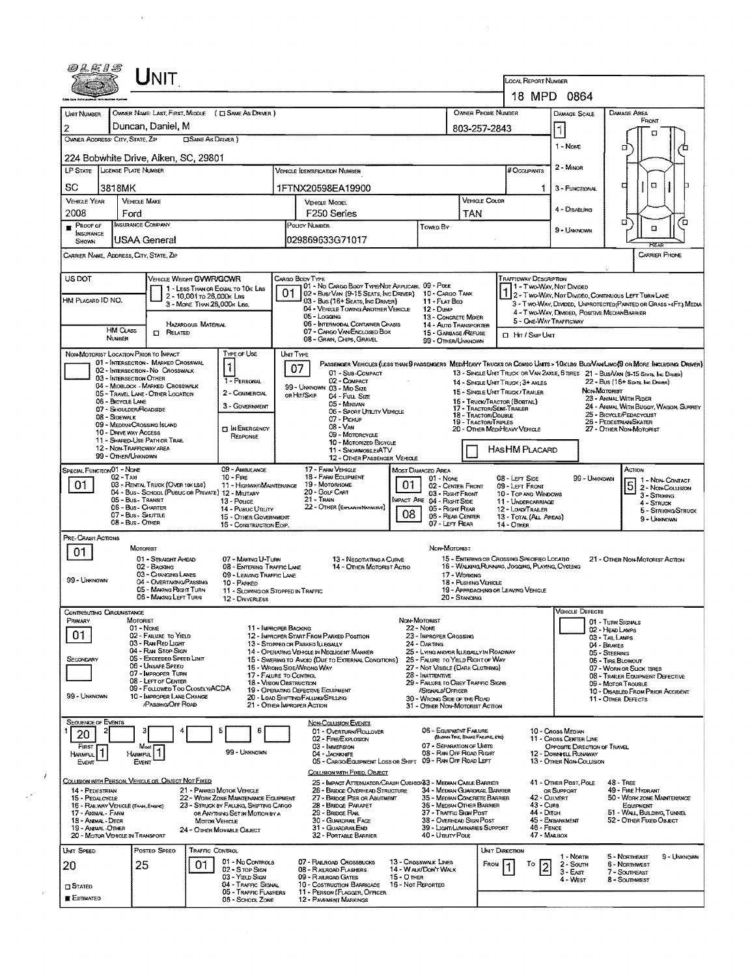| <i>@LE15</i>                                                                                                                            |                       | <b>NIT</b>                                                                   |                                                                                |           | LOCAL REPORT NUMBER                                                                              |                                                                             |                                                              |                                                                                                 |                                                                                                                                                     |                                                                                                                              |  |  |  |  |
|-----------------------------------------------------------------------------------------------------------------------------------------|-----------------------|------------------------------------------------------------------------------|--------------------------------------------------------------------------------|-----------|--------------------------------------------------------------------------------------------------|-----------------------------------------------------------------------------|--------------------------------------------------------------|-------------------------------------------------------------------------------------------------|-----------------------------------------------------------------------------------------------------------------------------------------------------|------------------------------------------------------------------------------------------------------------------------------|--|--|--|--|
|                                                                                                                                         |                       |                                                                              |                                                                                |           |                                                                                                  |                                                                             |                                                              |                                                                                                 |                                                                                                                                                     | 18 MPD 0864                                                                                                                  |  |  |  |  |
|                                                                                                                                         |                       |                                                                              |                                                                                |           |                                                                                                  |                                                                             |                                                              |                                                                                                 |                                                                                                                                                     |                                                                                                                              |  |  |  |  |
| UNIT NUMBER                                                                                                                             |                       |                                                                              | OWNER NAME: LAST, FIRST, MIDDLE ( C) SAME AS DRIVER )                          |           |                                                                                                  |                                                                             | OWNER PHONE NUMBER                                           |                                                                                                 | DAMAGE SCALE                                                                                                                                        | DAMAGE AREA<br>FRONT                                                                                                         |  |  |  |  |
| 2                                                                                                                                       |                       | Duncan, Daniel, M                                                            |                                                                                |           |                                                                                                  |                                                                             | 803-257-2843                                                 |                                                                                                 | I٦                                                                                                                                                  | o                                                                                                                            |  |  |  |  |
| OWNER ADDRESS: CITY, STATE, ZIP                                                                                                         |                       |                                                                              | <b>CISAME AS DRIVER)</b>                                                       |           |                                                                                                  |                                                                             |                                                              |                                                                                                 | 1 - None                                                                                                                                            | σ                                                                                                                            |  |  |  |  |
|                                                                                                                                         |                       | 224 Bobwhite Drive, Alken, SC, 29801                                         |                                                                                |           |                                                                                                  |                                                                             |                                                              |                                                                                                 |                                                                                                                                                     |                                                                                                                              |  |  |  |  |
| LP STATE   LICENSE PLATE NUMBER                                                                                                         |                       |                                                                              |                                                                                |           | Vehicle (DENTIFICATION NUMBER                                                                    |                                                                             | # Occupants                                                  | 2 - MINOR                                                                                       |                                                                                                                                                     |                                                                                                                              |  |  |  |  |
| SC                                                                                                                                      | 3818MK                |                                                                              |                                                                                |           | 1FTNX20598EA19900                                                                                |                                                                             |                                                              |                                                                                                 | 3 - FUNCTIONAL                                                                                                                                      | α<br>▫                                                                                                                       |  |  |  |  |
| <b>VEHICLE YEAR</b>                                                                                                                     |                       | <b>VEHICLE MAKE</b>                                                          |                                                                                |           | <b>VEHICLE MODEL</b>                                                                             |                                                                             | VEHICLE COLOR                                                |                                                                                                 |                                                                                                                                                     |                                                                                                                              |  |  |  |  |
| 2008                                                                                                                                    | Ford                  |                                                                              |                                                                                |           | F250 Series                                                                                      |                                                                             | TAN                                                          |                                                                                                 | 4 - DISABUNG                                                                                                                                        |                                                                                                                              |  |  |  |  |
| $P$ ROOF OF<br><b>NSURANCE</b>                                                                                                          |                       | <b>INSURANCE COMPANY</b>                                                     |                                                                                |           | POLICY NUMBER                                                                                    | Towep By                                                                    |                                                              |                                                                                                 | 9 - UNKNOWN                                                                                                                                         | □<br>ō<br>α                                                                                                                  |  |  |  |  |
| SHOWN                                                                                                                                   |                       | USAA General                                                                 |                                                                                |           | 029869633G71017                                                                                  |                                                                             |                                                              |                                                                                                 |                                                                                                                                                     | REAR                                                                                                                         |  |  |  |  |
|                                                                                                                                         |                       | CARRIER NAME, ADDRESS, CITY, STATE, ZIP                                      |                                                                                |           |                                                                                                  |                                                                             |                                                              |                                                                                                 |                                                                                                                                                     | <b>CARRIER PHONE</b>                                                                                                         |  |  |  |  |
| US DOT                                                                                                                                  |                       |                                                                              | VEHICLE WEIGHT GVWR/GCWR                                                       |           | CARGO BODY TYPE                                                                                  |                                                                             |                                                              | <b>TRAFFICWAY DESCRIPTION</b>                                                                   |                                                                                                                                                     |                                                                                                                              |  |  |  |  |
|                                                                                                                                         |                       |                                                                              | 1 - LESS THAN OR EQUAL TO 10K LBS                                              | O.        | 01 - No CARGO BODY TYPE/NOT APPLICABL 09 - POLE<br>02 - Bus/VAN (9-15 SEATS, INC DRIVER)         | 10 - CARGO TANK                                                             |                                                              |                                                                                                 | 1 - Two-Way, Not Divided<br>2 - Two-Way, Not Divideo, Continuous LEFT TURN LANE<br>3 - T WO-WAY, DIWDED, UNPROTECTED (PAINTED OR GRASS > FT.) MEDIA |                                                                                                                              |  |  |  |  |
| HM Placard ID NO.                                                                                                                       |                       |                                                                              | 2 - 10,001 To 26,000K Las<br>3 - MORE THAN 26,000K LBS.                        |           | 03 - Bus (16+ Seats, Inc DRIVER)<br>04 - VEHICLE TOWING ANOTHER VEHICLE                          | 11 - Flat Beo<br>12 - Duse                                                  |                                                              |                                                                                                 |                                                                                                                                                     |                                                                                                                              |  |  |  |  |
|                                                                                                                                         |                       |                                                                              |                                                                                |           | 05 - Logging<br>06 - INTERMODAL CONTAINER CHASIS                                                 |                                                                             | 13 - CONCRETE MIXER                                          |                                                                                                 | 4 - T WO-WAY, DIVIDED, POSITIVE MEDIAN BARRIER<br>5 - ONE-WAY TRAFFICWAY                                                                            |                                                                                                                              |  |  |  |  |
|                                                                                                                                         | <b>HM CLASS</b>       | $\Box$<br>RELATED                                                            | <b>HAZARDOUS MATERIAL</b>                                                      |           | 07 - CARGO VAN ENCLOSED BOX                                                                      |                                                                             | 14 - Auto Transporter<br>15 - GARBAGE /REFUSE                | <b>CI HIT / SKIP UNIT</b>                                                                       |                                                                                                                                                     |                                                                                                                              |  |  |  |  |
|                                                                                                                                         | NUMBER                |                                                                              |                                                                                |           | 08 - GRAIN, CHIPS, GRAVEL                                                                        | 99 - OTHER/UNKNOWN                                                          |                                                              |                                                                                                 |                                                                                                                                                     |                                                                                                                              |  |  |  |  |
|                                                                                                                                         |                       | NON-MOTORIST LOCATION PRIOR TO IMPACT<br>01 - INTERSECTION - MARKED CROSSWAL | TYPE OF USE                                                                    | UNIT TYPE |                                                                                                  |                                                                             |                                                              |                                                                                                 |                                                                                                                                                     | PASSENGER VEHICLES (LESS THAN 9 PASSENGERS MEDIMEANY TRUCKS OR COMBO UNITS > 10KLBS BUS/VAN/LIMO(9 OR MORE INCLUDING DRIVER) |  |  |  |  |
|                                                                                                                                         |                       | 02 - INTERSECTION - NO CROSSWALK<br>03 - INTERSECTION OTHER                  | $\mathbf{1}$                                                                   |           | 07<br>01 - Sub-COMPACT<br>02 - COMPACT                                                           |                                                                             |                                                              |                                                                                                 |                                                                                                                                                     | 13 - SINGLE UNIT TRUCK OR VAN 2AXLE, 6 TIRES 21 - BUS/VAN (9-15 SEATS, INC DRASA)                                            |  |  |  |  |
|                                                                                                                                         |                       | 04 - MIDBLOCK - MARKED CROSSWALK<br>05 - TRAVEL LANE - OTHER LOCATION        | 1 - PERSONAL<br>2 - COMMERCIAL                                                 |           | 99 - UNKNOWN 03 - MID SIZE                                                                       |                                                                             |                                                              | 14 - SINGLE UNIT TRUCK: 3+ AXLES<br>15 - SINGLE UNIT TRUCK / TRAILER                            | 22 - Bus (16+ Seats, Inc Driver)<br>Non Moronist<br>23 - ANIMAL WITH RIDER<br>24 - ANIMAL WITH BUGGY, WAGON, SURREY                                 |                                                                                                                              |  |  |  |  |
|                                                                                                                                         | 06 - BICYCLE LANE     |                                                                              | 3 - GOVERNMENT                                                                 |           | OR HIT/SKIP<br>04 - Futt, StzE<br>05 - MINIVAN                                                   |                                                                             |                                                              | 16 - Truck/Tractor (Bostall)<br>17 - TRACTOR/SEMI-TRAILER                                       |                                                                                                                                                     |                                                                                                                              |  |  |  |  |
|                                                                                                                                         | 08 - SIDEWALK         | 07 - SHOULDER/ROADSIDE                                                       |                                                                                |           | 06 - Sport Uttuty Vehicle<br>07 - PICKUP                                                         |                                                                             | 18 - TRACTOR/DOUBLE<br><b>19 - TRACTOR/TRIPLES</b>           |                                                                                                 |                                                                                                                                                     | 25 - BICYCLE/PEDACYCLIST<br>26 - PEDESTRIAN/SKATER                                                                           |  |  |  |  |
|                                                                                                                                         | 10 - DRIVE WAY ACCESS | 09 - MEDIAN/CROSSING ISLAND                                                  | <b>DIN EMERGENCY</b><br>RESPONSE                                               |           | 08 - VAN<br>09 - MOTORCYCLE                                                                      |                                                                             |                                                              | 20 - OTHER MEDIMEAVY VEHICLE                                                                    |                                                                                                                                                     | 27 - OTHER NDN-MOTORIST                                                                                                      |  |  |  |  |
|                                                                                                                                         |                       | 11 - SHARED USE PATH OR TRAIL<br>12 - NON-TRAFFICWAY AREA                    |                                                                                |           | 10 - MOTORIZED BICYCLE<br>11 - SNOWMOBILE/ATV                                                    |                                                                             |                                                              | HASHM PLACARD                                                                                   |                                                                                                                                                     |                                                                                                                              |  |  |  |  |
|                                                                                                                                         | 99 - OTHER/UNKNOWN    |                                                                              |                                                                                |           | 12 - OTHER PASSENGER VEHICLE                                                                     |                                                                             |                                                              |                                                                                                 |                                                                                                                                                     |                                                                                                                              |  |  |  |  |
| SPECIAL FUNCTION 01 - NONE                                                                                                              | $02 - T$ AXI          |                                                                              | 09 - AMBULANCE<br>$10 -$ Fire                                                  |           | 17 - FARM VEHICLE<br>18 - FARM EQUIPMENT                                                         | MOST DAMAGED AREA<br>01 - None                                              |                                                              | 08 - LEFT SIDE                                                                                  | ACTION                                                                                                                                              |                                                                                                                              |  |  |  |  |
| 01                                                                                                                                      |                       | 03 - RENTAL TRUCK (OVER 10KLBS)                                              | 11 - Highway/MamTenance<br>04 - Bus - School (Public or Private) 12 - Military |           | 19 - MOTORHOME<br>01<br>20 - Golf Cart                                                           |                                                                             | 02 - CENTER FRONT                                            | 99 - UNKNOWN<br>1 - NDN-CONTACT<br>09 - LEFT FRONT<br>2 - Non-Collision<br>10 - TOP AND WINDOWS |                                                                                                                                                     |                                                                                                                              |  |  |  |  |
|                                                                                                                                         |                       | 05 - Bus - Transit                                                           | 13 - Pouce                                                                     |           | 21 - TRAIN                                                                                       | <b>IMPACT ARE 04 - RIGHT SIDE</b>                                           | 03 - Right Front                                             | 11 - UNDERCARRIAGE                                                                              |                                                                                                                                                     | 3 - Struking<br>4 - Struck                                                                                                   |  |  |  |  |
|                                                                                                                                         |                       | 06 - Bus - Charter<br>07 - Bus - SHUTTLE                                     | 14 - Pusuc Unury<br>15 - OTHER GOVERNMENT                                      |           | 22 - OTHER (EXPLANIN NARRATIVE)<br>08                                                            | 05 - Right REAR                                                             | 05 - REAR CENTER                                             | 12 - LOAD/TRAILER<br>13 - TOTAL (ALL AREAS)                                                     |                                                                                                                                                     | 5 - Striking/Struck<br>9 - Unknown                                                                                           |  |  |  |  |
|                                                                                                                                         |                       | 08 - Bus - OTHER                                                             | 16 - CONSTRUCTION EOIP.                                                        |           |                                                                                                  | 07 - LEFT FIEAR                                                             |                                                              | 14 - Отнак                                                                                      |                                                                                                                                                     |                                                                                                                              |  |  |  |  |
| PRE-CRASH ACTIONS                                                                                                                       |                       | MOTORIST                                                                     |                                                                                |           |                                                                                                  | NON-MOTORIST                                                                |                                                              |                                                                                                 |                                                                                                                                                     |                                                                                                                              |  |  |  |  |
| 01                                                                                                                                      |                       | 01 - STRAIGHT AHEAD                                                          | 07 - MAKING U-TURN                                                             |           | 13 - NEGOTIATING A CURVE                                                                         |                                                                             |                                                              | 15 - ENTERING OR CROSSING SPECIFIED LOCATIO<br>21 - OTHER NON-MOTORIST ACTION                   |                                                                                                                                                     |                                                                                                                              |  |  |  |  |
|                                                                                                                                         |                       | 02 - BACKING<br>03 - CHANGING LANES                                          | 08 - ENTERING TRAFFIC LANE<br>09 - LEAVING TRAFFIC LANE                        |           | 14 - OTHER MOTORIST ACTIO                                                                        |                                                                             | 17 - Working                                                 | 16 - WALKING RUNNING, JOGGING, PLAYING, CYCLING                                                 |                                                                                                                                                     |                                                                                                                              |  |  |  |  |
| 99 - UNKNOWN                                                                                                                            |                       | 04 - Overtaking/Passing<br>05 - MAKING FUGHT TURN                            | 10 - PARKED<br>11 - SLOWING OR STOPPED IN TRAFFIC                              |           |                                                                                                  |                                                                             | 18 - Pushing Vehicle                                         | 19 - APPRDACHING OR LEAVING VEHICLE                                                             |                                                                                                                                                     |                                                                                                                              |  |  |  |  |
|                                                                                                                                         |                       | 06 - MAKING LEFT TURN                                                        | 12 - DRIVERLESS                                                                |           |                                                                                                  |                                                                             | 20 - STANDING                                                |                                                                                                 |                                                                                                                                                     |                                                                                                                              |  |  |  |  |
| CONTRIBUTING CIRCUMSTANCE                                                                                                               |                       |                                                                              |                                                                                |           |                                                                                                  |                                                                             |                                                              |                                                                                                 | <b>VEHICLE DEFECTS</b>                                                                                                                              |                                                                                                                              |  |  |  |  |
| PRIMARY                                                                                                                                 |                       | Motorist<br>01 - None                                                        | 11 - IMPROPER BACKING                                                          |           |                                                                                                  | Non-Motorist<br><b>22 - None</b>                                            |                                                              |                                                                                                 |                                                                                                                                                     | 01 - TURN SIGNALS<br>02 - HEAD LAMPS                                                                                         |  |  |  |  |
| 01                                                                                                                                      |                       | 02 - FAILURE TO YIELD<br>03 - RAN REO LIGHT                                  |                                                                                |           | 12 - IMPROPER START FROM PARKED POSITION<br>13 - Stopped or Parked ILLEGALLY                     | 23 - IMPROPER CROSSING<br>24 - DARTING                                      |                                                              |                                                                                                 |                                                                                                                                                     | 03 - TAL LAIPS<br>04 - BRAKES                                                                                                |  |  |  |  |
| SECONDARY                                                                                                                               |                       | 04 - RAN STOP SIGN<br>05 - Exceedeo Speed Limit                              |                                                                                |           | 14 - OPERATING VEHICLE IN NEGLIGENT MANNER<br>15 - SWERING TO AVOID (DUE TO EXTERNAL CONDITIONS) | 25 - LYING AND/OR ILLEGALLY IN ROADWAY<br>26 - FALURE TO YIELD RIGHT OF WAY |                                                              |                                                                                                 |                                                                                                                                                     | 05 - STEERING<br>06 - TIRE BLOWOUT                                                                                           |  |  |  |  |
|                                                                                                                                         |                       | <b>06 - Unsafe Speen</b><br>07 - IMPROPER TURN                               | 17 - FAURE TO CONTROL                                                          |           | 16 - WRONG SIDE/WRONG WAY                                                                        | 27 - NOT VISIBLE (DARK CLOTHING)<br>28 - INATTENTIVE                        |                                                              |                                                                                                 | 07 - WORN OR SUCK TIRES                                                                                                                             |                                                                                                                              |  |  |  |  |
|                                                                                                                                         |                       | 08 - LEFT OF CENTER<br>09 - Followed Too Closely/ACDA                        | 18 - Vision Obstruction                                                        |           |                                                                                                  | 29 - FAILURE TO OBEY TRAFFIC SIGNS                                          |                                                              |                                                                                                 |                                                                                                                                                     | 08 - TRAILER EQUIPMENT DEFECTIVE<br>09 - MOTOR TROUBLE                                                                       |  |  |  |  |
| 99 - UNKNOWN                                                                                                                            |                       | 10 - IMPROPER LANE CHANGE                                                    |                                                                                |           | 19 - OPERATING DEFECTIVE EQUIPMENT<br>20 - LOAD SHIFTING/FALLING/SPILLING                        | /Stonals/Officer<br>30 - WRONG SIDE OF THE ROAD                             |                                                              |                                                                                                 |                                                                                                                                                     | 10 - DISABLED FROM PRIOR ACCIDENT<br>11 - OTHER DEFECTS                                                                      |  |  |  |  |
|                                                                                                                                         |                       | /PASSING/OFF ROAD                                                            |                                                                                |           | 21 - Other IMPROPER ACTION                                                                       | 31 - OTHER NON-MOTORIST ACTION                                              |                                                              |                                                                                                 |                                                                                                                                                     |                                                                                                                              |  |  |  |  |
| <b>SEQUENCE OF EVENTS</b>                                                                                                               |                       |                                                                              | 5<br>6                                                                         |           | <b>NON-COLLISION EVENTS</b>                                                                      |                                                                             | 06 - EQUIPMENT FAILURE                                       |                                                                                                 |                                                                                                                                                     |                                                                                                                              |  |  |  |  |
| 20                                                                                                                                      |                       | з                                                                            |                                                                                |           | 01 - OVERTURN/ROLLOVER<br>02 - FIRE/Explosion                                                    |                                                                             | (BLOWN TIME, BRAKE FAILURE, ETC)                             |                                                                                                 | 10 - Cross Median<br>11 - Cross Center Line                                                                                                         |                                                                                                                              |  |  |  |  |
| FIRST<br>HARMFUL <sup>1</sup>                                                                                                           |                       | Most<br><b>HARMFUL</b>                                                       | 99 - Unknown                                                                   |           | 03 - IMMERSION<br>04 - Jackknefe                                                                 |                                                                             | 07 - SEPARATION OF UNITS<br>08 - RAN OFF ROAD RIGHT          |                                                                                                 | OPPOSITE DIRECTION OF TRAVEL<br>12 - DOWNHILL RUNAWAY                                                                                               |                                                                                                                              |  |  |  |  |
| 05 - CARGO/EQUIPMENT LOSS OR SHIFT 09 - RAN OFF ROAD LEFT<br>13 - OTHER NON-COLLISION<br>Event<br>Event<br>COLLISION WITH FIXED, ORJECT |                       |                                                                              |                                                                                |           |                                                                                                  |                                                                             |                                                              |                                                                                                 |                                                                                                                                                     |                                                                                                                              |  |  |  |  |
|                                                                                                                                         |                       | COLLISION WITH PERSON, VEHICLE OR OBJECT NOT FIXED                           |                                                                                |           | 25 - IMPACT ATTENUATOR/CRASH CUSHION33 - MEDIAN CABLE BARRIER                                    |                                                                             |                                                              |                                                                                                 | 41 - OTHER POST, POLE                                                                                                                               | $48 - TREF$                                                                                                                  |  |  |  |  |
| 14 - PEDESTRIAN<br>15 - PEDALOYCLE                                                                                                      |                       |                                                                              | 21 - PARKED MOTOR VEHICLE<br>22 - WORK ZONE MAINTENANCE EQUIPMENT              |           | 26 - BRIDGE OVERHEAD STRUCTURE<br>27 - BRIDGE PIER OR ABUTMENT                                   |                                                                             | 34 - Median Guardral Barrier<br>35 - MEDIAN CONCRETE BARRIER |                                                                                                 | OR SUPPORT<br>42 - CULVERT                                                                                                                          | 49 - FIRE HYDRANT<br>50 - WORK ZONE MAINTENANCE                                                                              |  |  |  |  |
| 17 - ANIMAL - FARM                                                                                                                      |                       | 16 - RAILWAY VEHICLE (THAN, ENGINE)                                          | 23 - STRUCK BY FALLING, SHIFTING CARGO<br>OR ANYTHING SET IN MOTION BY A       |           | 28 - BRIDGE PARAPET<br>29 - Bridge Rail                                                          |                                                                             | 36 - MEDIAN OTHER BARRIER<br>37 - TRAFFIC SIGN POST          | 43 - Curs<br>44 - Опсн                                                                          | EQUIPMENT<br>51 - WALL, BUILDING, TUNNEL                                                                                                            |                                                                                                                              |  |  |  |  |
| 18 - ANIMAL - DEER                                                                                                                      |                       |                                                                              | <b>MOTOR VEHICLE</b>                                                           |           | 30 - GUARDRAIL FACE                                                                              |                                                                             | 38 - OVERHEAD SIGN POST                                      |                                                                                                 | 45 - EMBANKMENT                                                                                                                                     | 52 - OTHER FIXED OBJECT                                                                                                      |  |  |  |  |
| 19 - ANMAL-OTHER                                                                                                                        |                       | 20 - MOTOR VEHICLE IN TRANSPORT                                              | 24 - OTHER MOVABLE OBJECT                                                      |           | 31 - GUARDRAILEND<br>32 - PORTABLE BARRIER                                                       | 40 - Unury Pole                                                             | 39 - LIGHT/LUMINARIES SUPPORT                                |                                                                                                 | 46 - Fence<br>47 - MARBOX                                                                                                                           |                                                                                                                              |  |  |  |  |
| UNIT SPEED                                                                                                                              |                       | POSTEO SPEEO                                                                 | <b>TRAFFIC CONTROL</b>                                                         |           |                                                                                                  |                                                                             |                                                              | <b>UNT DIRECTION</b>                                                                            |                                                                                                                                                     |                                                                                                                              |  |  |  |  |
| 20                                                                                                                                      |                       | 25                                                                           | 01 - No Controls<br>01<br>02 - S TOP SIGN                                      |           | 07 - RAILROAD CROSSBUCKS<br>08 - RAUROAD FLASHERS                                                | 13 - Crosswalk Lines<br>14 - WALK/DON'T WALK                                |                                                              | FROM  <br>To                                                                                    | 1 - North<br>2 - South                                                                                                                              | 9 - UNKNOWN<br>5 - Northeast<br><b>6 - NORTHWEST</b>                                                                         |  |  |  |  |
|                                                                                                                                         |                       |                                                                              | 03 - YIELD SIGN                                                                |           | 15 - O THER<br>09 - RALROAD GATES                                                                |                                                                             |                                                              |                                                                                                 | $3 -$ East<br>4 - West                                                                                                                              | 7 - SOUTHEAST<br><b>8 - SOUTHWEST</b>                                                                                        |  |  |  |  |
| $\square$ STATED                                                                                                                        |                       |                                                                              | 04 - TRAFFIC SIGNAL<br>05 - TRAFFIC FLASHERS                                   |           | 10 - COSTRUCTION BARRICADE<br>11 - PERSON (FLAGGER, OFFICER                                      | 16 - Not Reported                                                           |                                                              |                                                                                                 |                                                                                                                                                     |                                                                                                                              |  |  |  |  |
| <b>E</b> ESTIMATED<br>06 - SCHOOL ZONE<br><b>12 - PAVEMENT MARKINGS</b>                                                                 |                       |                                                                              |                                                                                |           |                                                                                                  |                                                                             |                                                              |                                                                                                 |                                                                                                                                                     |                                                                                                                              |  |  |  |  |

 $\label{eq:2.1} \frac{1}{\sqrt{2}}\int_{0}^{\infty}\frac{1}{\sqrt{2\pi}}\left(\frac{1}{\sqrt{2\pi}}\right)^{2\alpha} \frac{1}{\sqrt{2\pi}}\int_{0}^{\infty}\frac{1}{\sqrt{2\pi}}\frac{1}{\sqrt{2\pi}}\frac{1}{\sqrt{2\pi}}\frac{1}{\sqrt{2\pi}}\frac{1}{\sqrt{2\pi}}\frac{1}{\sqrt{2\pi}}\frac{1}{\sqrt{2\pi}}\frac{1}{\sqrt{2\pi}}\frac{1}{\sqrt{2\pi}}\frac{1}{\sqrt{2\pi}}\frac{1}{\sqrt{2\pi}}\frac{1}{$